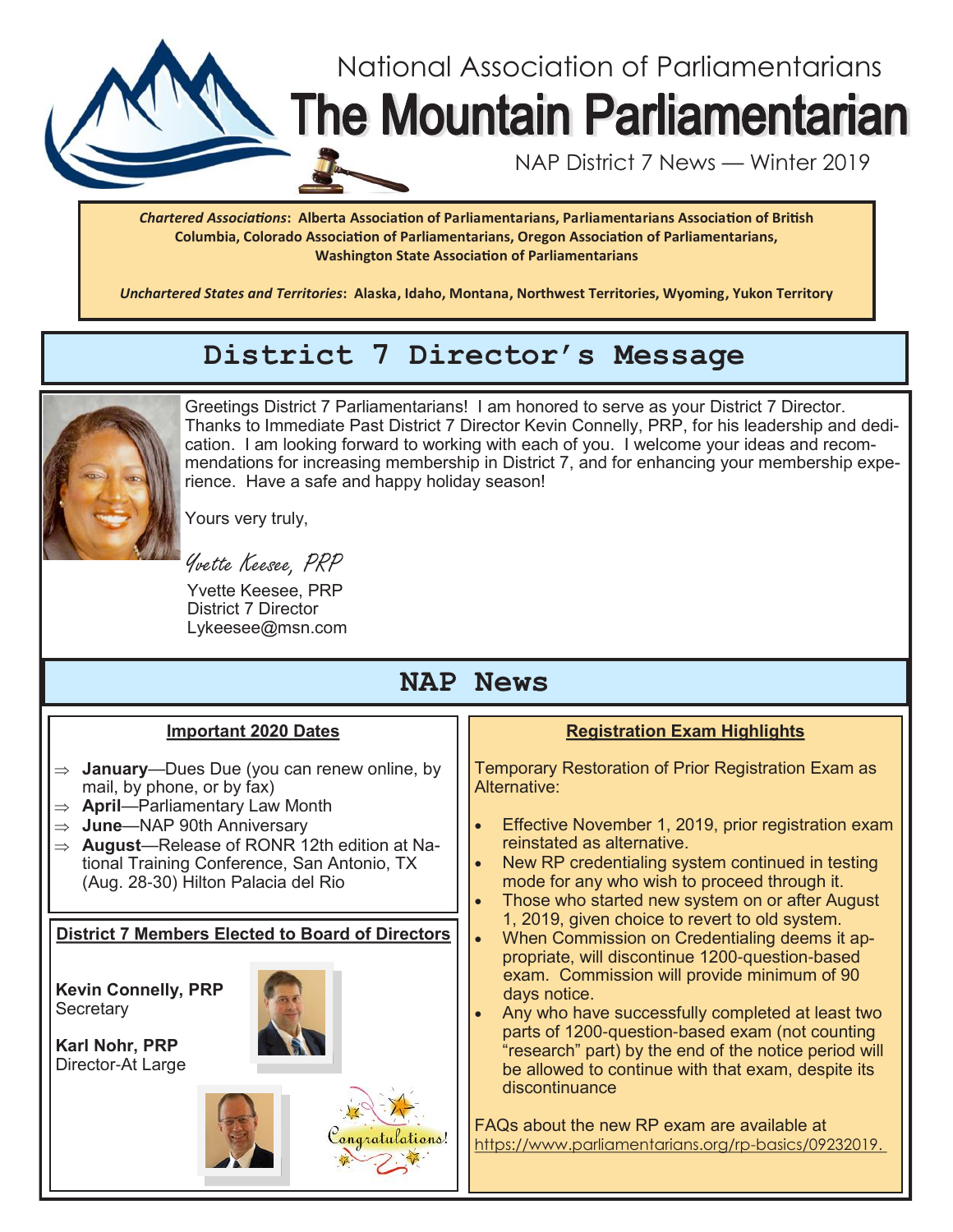

*Chartered Associations***: Alberta Association of Parliamentarians, Parliamentarians Association of British Columbia, Colorado Association of Parliamentarians, Oregon Association of Parliamentarians, Washington State Association of Parliamentarians**

*Unchartered States and Territories***: Alaska, Idaho, Montana, Northwest Territories, Wyoming, Yukon Territory**

# **District 7 Director's Message**



Greetings District 7 Parliamentarians! I am honored to serve as your District 7 Director. Thanks to Immediate Past District 7 Director Kevin Connelly, PRP, for his leadership and dedication. I am looking forward to working with each of you. I welcome your ideas and recommendations for increasing membership in District 7, and for enhancing your membership experience. Have a safe and happy holiday season!

Yours very truly,

Yvette Keesee, PRP

 Yvette Keesee, PRP District 7 Director Lykeesee@msn.com

# **NAP News**

## **Important 2020 Dates**

- **January**—Dues Due (you can renew online, by mail, by phone, or by fax)
- **April**—Parliamentary Law Month
- **June**—NAP 90th Anniversary
- **August**—Release of RONR 12th edition at National Training Conference, San Antonio, TX (Aug. 28-30) Hilton Palacia del Rio

## **District 7 Members Elected to Board of Directors**

**Kevin Connelly, PRP Secretary** 

**Karl Nohr, PRP** Director-At Large





## **Registration Exam Highlights**

Temporary Restoration of Prior Registration Exam as Alternative:

- Effective November 1, 2019, prior registration exam reinstated as alternative.
- New RP credentialing system continued in testing mode for any who wish to proceed through it.
- Those who started new system on or after August 1, 2019, given choice to revert to old system.
- When Commission on Credentialing deems it appropriate, will discontinue 1200-question-based exam. Commission will provide minimum of 90 days notice.
- Any who have successfully completed at least two parts of 1200-question-based exam (not counting "research" part) by the end of the notice period will be allowed to continue with that exam, despite its discontinuance

FAQs about the new RP exam are available at https://www.parliamentarians.org/rp-basics/09232019.